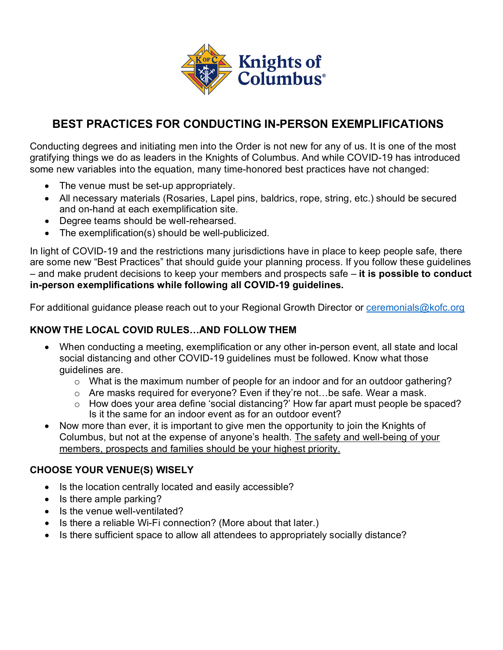

# **BEST PRACTICES FOR CONDUCTING IN-PERSON EXEMPLIFICATIONS**

Conducting degrees and initiating men into the Order is not new for any of us. It is one of the most gratifying things we do as leaders in the Knights of Columbus. And while COVID-19 has introduced some new variables into the equation, many time-honored best practices have not changed:

- The venue must be set-up appropriately.
- All necessary materials (Rosaries, Lapel pins, baldrics, rope, string, etc.) should be secured and on-hand at each exemplification site.
- Degree teams should be well-rehearsed.
- The exemplification(s) should be well-publicized.

In light of COVID-19 and the restrictions many jurisdictions have in place to keep people safe, there are some new "Best Practices" that should guide your planning process. If you follow these guidelines – and make prudent decisions to keep your members and prospects safe – **it is possible to conduct in-person exemplifications while following all COVID-19 guidelines.**

For additional guidance please reach out to your Regional Growth Director or ceremonials@kofc.org

## **KNOW THE LOCAL COVID RULES…AND FOLLOW THEM**

- When conducting a meeting, exemplification or any other in-person event, all state and local social distancing and other COVID-19 guidelines must be followed. Know what those guidelines are.
	- $\circ$  What is the maximum number of people for an indoor and for an outdoor gathering?
	- o Are masks required for everyone? Even if they're not…be safe. Wear a mask.
	- o How does your area define 'social distancing?' How far apart must people be spaced? Is it the same for an indoor event as for an outdoor event?
- Now more than ever, it is important to give men the opportunity to join the Knights of Columbus, but not at the expense of anyone's health. The safety and well-being of your members, prospects and families should be your highest priority.

## **CHOOSE YOUR VENUE(S) WISELY**

- Is the location centrally located and easily accessible?
- Is there ample parking?
- Is the venue well-ventilated?
- Is there a reliable Wi-Fi connection? (More about that later.)
- Is there sufficient space to allow all attendees to appropriately socially distance?